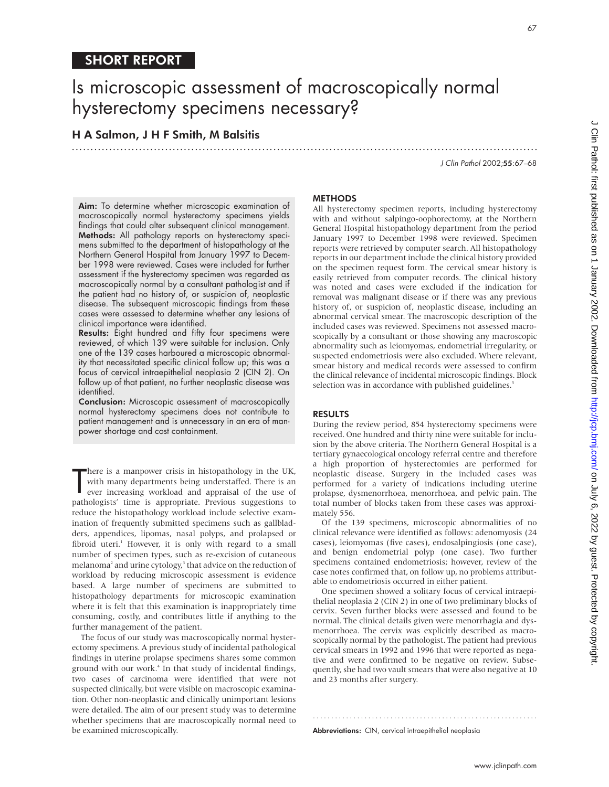# SHORT REPORT

# Is microscopic assessment of macroscopically normal hysterectomy specimens necessary?

.............................................................................................................................

H A Salmon, J H F Smith, M Balsitis

J Clin Pathol 2002;55:67–68

Aim: To determine whether microscopic examination of macroscopically normal hysterectomy specimens yields findings that could alter subsequent clinical management. Methods: All pathology reports on hysterectomy specimens submitted to the department of histopathology at the Northern General Hospital from January 1997 to December 1998 were reviewed. Cases were included for further assessment if the hysterectomy specimen was regarded as macroscopically normal by a consultant pathologist and if the patient had no history of, or suspicion of, neoplastic disease. The subsequent microscopic findings from these cases were assessed to determine whether any lesions of clinical importance were identified.

Results: Eight hundred and fifty four specimens were reviewed, of which 139 were suitable for inclusion. Only one of the 139 cases harboured a microscopic abnormality that necessitated specific clinical follow up; this was a focus of cervical intraepithelial neoplasia 2 (CIN 2). On follow up of that patient, no further neoplastic disease was identified.

Conclusion: Microscopic assessment of macroscopically normal hysterectomy specimens does not contribute to patient management and is unnecessary in an era of manpower shortage and cost containment.

There is a manpower crisis in histopathology in the UK,<br>with many departments being understaffed. There is an<br>ever increasing workload and appraisal of the use of<br>pathologists' time is appropriate. Previous suggestions to here is a manpower crisis in histopathology in the UK, with many departments being understaffed. There is an ever increasing workload and appraisal of the use of reduce the histopathology workload include selective examination of frequently submitted specimens such as gallbladders, appendices, lipomas, nasal polyps, and prolapsed or fibroid uteri.<sup>1</sup> However, it is only with regard to a small number of specimen types, such as re-excision of cutaneous melanoma<sup>2</sup> and urine cytology,<sup>3</sup> that advice on the reduction of workload by reducing microscopic assessment is evidence based. A large number of specimens are submitted to histopathology departments for microscopic examination where it is felt that this examination is inappropriately time consuming, costly, and contributes little if anything to the further management of the patient.

The focus of our study was macroscopically normal hysterectomy specimens. A previous study of incidental pathological findings in uterine prolapse specimens shares some common ground with our work.<sup>4</sup> In that study of incidental findings, two cases of carcinoma were identified that were not suspected clinically, but were visible on macroscopic examination. Other non-neoplastic and clinically unimportant lesions were detailed. The aim of our present study was to determine whether specimens that are macroscopically normal need to be examined microscopically.

### **METHODS**

All hysterectomy specimen reports, including hysterectomy with and without salpingo-oophorectomy, at the Northern General Hospital histopathology department from the period January 1997 to December 1998 were reviewed. Specimen reports were retrieved by computer search. All histopathology reports in our department include the clinical history provided on the specimen request form. The cervical smear history is easily retrieved from computer records. The clinical history was noted and cases were excluded if the indication for removal was malignant disease or if there was any previous history of, or suspicion of, neoplastic disease, including an abnormal cervical smear. The macroscopic description of the included cases was reviewed. Specimens not assessed macroscopically by a consultant or those showing any macroscopic abnormality such as leiomyomas, endometrial irregularity, or suspected endometriosis were also excluded. Where relevant, smear history and medical records were assessed to confirm the clinical relevance of incidental microscopic findings. Block selection was in accordance with published guidelines.<sup>5</sup>

#### RESULTS

During the review period, 854 hysterectomy specimens were received. One hundred and thirty nine were suitable for inclusion by the above criteria. The Northern General Hospital is a tertiary gynaecological oncology referral centre and therefore a high proportion of hysterectomies are performed for neoplastic disease. Surgery in the included cases was performed for a variety of indications including uterine prolapse, dysmenorrhoea, menorrhoea, and pelvic pain. The total number of blocks taken from these cases was approximately 556.

Of the 139 specimens, microscopic abnormalities of no clinical relevance were identified as follows: adenomyosis (24 cases), leiomyomas (five cases), endosalpingiosis (one case), and benign endometrial polyp (one case). Two further specimens contained endometriosis; however, review of the case notes confirmed that, on follow up, no problems attributable to endometriosis occurred in either patient.

One specimen showed a solitary focus of cervical intraepithelial neoplasia 2 (CIN 2) in one of two preliminary blocks of cervix. Seven further blocks were assessed and found to be normal. The clinical details given were menorrhagia and dysmenorrhoea. The cervix was explicitly described as macroscopically normal by the pathologist. The patient had previous cervical smears in 1992 and 1996 that were reported as negative and were confirmed to be negative on review. Subsequently, she had two vault smears that were also negative at 10 and 23 months after surgery.

.............................................................

Abbreviations: CIN, cervical intraepithelial neoplasia

67